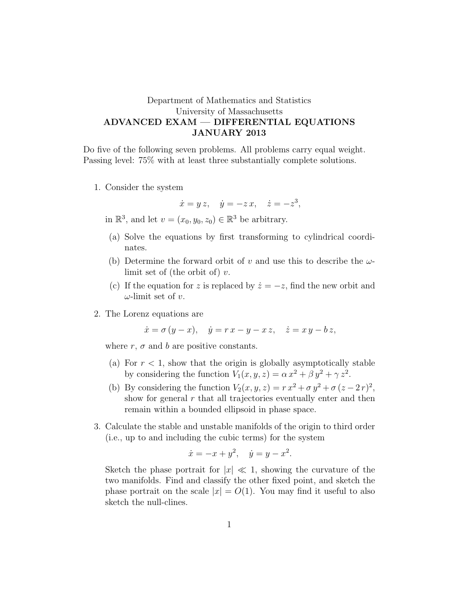## Department of Mathematics and Statistics University of Massachusetts ADVANCED EXAM — DIFFERENTIAL EQUATIONS JANUARY 2013

Do five of the following seven problems. All problems carry equal weight. Passing level: 75% with at least three substantially complete solutions.

1. Consider the system

$$
\dot{x} = y z, \quad \dot{y} = -z x, \quad \dot{z} = -z^3,
$$

in  $\mathbb{R}^3$ , and let  $v = (x_0, y_0, z_0) \in \mathbb{R}^3$  be arbitrary.

- (a) Solve the equations by first transforming to cylindrical coordinates.
- (b) Determine the forward orbit of v and use this to describe the  $\omega$ limit set of (the orbit of)  $v$ .
- (c) If the equation for z is replaced by  $\dot{z} = -z$ , find the new orbit and  $\omega$ -limit set of v.
- 2. The Lorenz equations are

$$
\dot{x} = \sigma (y - x), \quad \dot{y} = r x - y - x z, \quad \dot{z} = x y - b z,
$$

where  $r$ ,  $\sigma$  and  $b$  are positive constants.

- (a) For  $r < 1$ , show that the origin is globally asymptotically stable by considering the function  $V_1(x, y, z) = \alpha x^2 + \beta y^2 + \gamma z^2$ .
- (b) By considering the function  $V_2(x, y, z) = r x^2 + \sigma y^2 + \sigma (z 2r)^2$ , show for general  $r$  that all trajectories eventually enter and then remain within a bounded ellipsoid in phase space.
- 3. Calculate the stable and unstable manifolds of the origin to third order (i.e., up to and including the cubic terms) for the system

$$
\dot{x} = -x + y^2, \quad \dot{y} = y - x^2.
$$

Sketch the phase portrait for  $|x| \ll 1$ , showing the curvature of the two manifolds. Find and classify the other fixed point, and sketch the phase portrait on the scale  $|x| = O(1)$ . You may find it useful to also sketch the null-clines.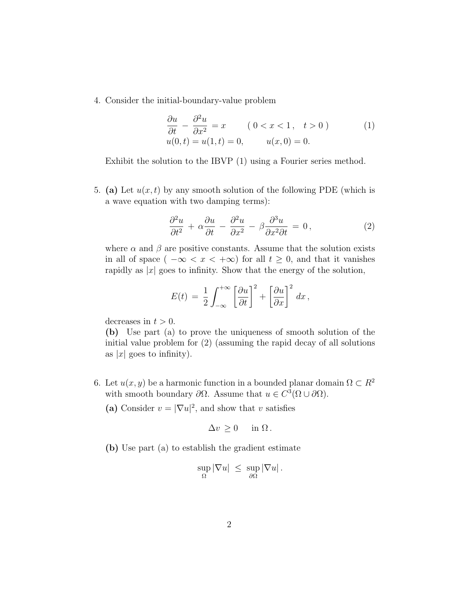4. Consider the initial-boundary-value problem

$$
\frac{\partial u}{\partial t} - \frac{\partial^2 u}{\partial x^2} = x \qquad (0 < x < 1, \quad t > 0) \tag{1}
$$
\n
$$
u(0, t) = u(1, t) = 0, \qquad u(x, 0) = 0.
$$

Exhibit the solution to the IBVP (1) using a Fourier series method.

5. (a) Let  $u(x, t)$  by any smooth solution of the following PDE (which is a wave equation with two damping terms):

$$
\frac{\partial^2 u}{\partial t^2} + \alpha \frac{\partial u}{\partial t} - \frac{\partial^2 u}{\partial x^2} - \beta \frac{\partial^3 u}{\partial x^2 \partial t} = 0, \qquad (2)
$$

where  $\alpha$  and  $\beta$  are positive constants. Assume that the solution exists in all of space (  $-\infty < x < +\infty$ ) for all  $t \geq 0$ , and that it vanishes rapidly as  $|x|$  goes to infinity. Show that the energy of the solution,

$$
E(t) = \frac{1}{2} \int_{-\infty}^{+\infty} \left[ \frac{\partial u}{\partial t} \right]^2 + \left[ \frac{\partial u}{\partial x} \right]^2 dx,
$$

decreases in  $t > 0$ .

(b) Use part (a) to prove the uniqueness of smooth solution of the initial value problem for (2) (assuming the rapid decay of all solutions as  $|x|$  goes to infinity).

- 6. Let  $u(x, y)$  be a harmonic function in a bounded planar domain  $\Omega \subset R^2$ with smooth boundary  $\partial\Omega$ . Assume that  $u \in C^3(\Omega \cup \partial \Omega)$ .
	- (a) Consider  $v = |\nabla u|^2$ , and show that v satisfies

$$
\Delta v \ge 0 \quad \text{in } \Omega.
$$

(b) Use part (a) to establish the gradient estimate

$$
\sup_{\Omega} |\nabla u| \leq \sup_{\partial \Omega} |\nabla u|.
$$